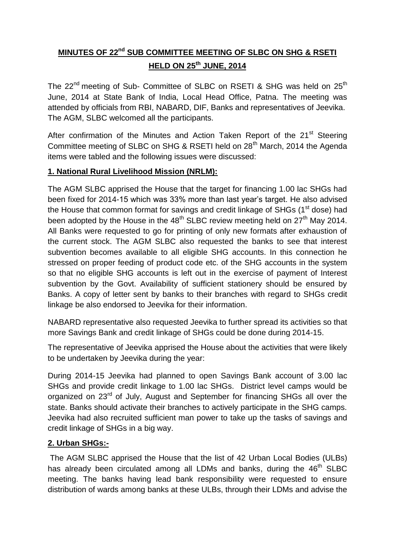# **MINUTES OF 22nd SUB COMMITTEE MEETING OF SLBC ON SHG & RSETI HELD ON 25th JUNE, 2014**

The 22<sup>nd</sup> meeting of Sub- Committee of SLBC on RSETI & SHG was held on 25<sup>th</sup> June, 2014 at State Bank of India, Local Head Office, Patna. The meeting was attended by officials from RBI, NABARD, DIF, Banks and representatives of Jeevika. The AGM, SLBC welcomed all the participants.

After confirmation of the Minutes and Action Taken Report of the 21<sup>st</sup> Steering Committee meeting of SLBC on SHG & RSETI held on 28<sup>th</sup> March, 2014 the Agenda items were tabled and the following issues were discussed:

### **1. National Rural Livelihood Mission (NRLM):**

The AGM SLBC apprised the House that the target for financing 1.00 lac SHGs had been fixed for 2014-15 which was 33% more than last year's target. He also advised the House that common format for savings and credit linkage of SHGs (1<sup>st</sup> dose) had been adopted by the House in the  $48<sup>th</sup>$  SLBC review meeting held on  $27<sup>th</sup>$  May 2014. All Banks were requested to go for printing of only new formats after exhaustion of the current stock. The AGM SLBC also requested the banks to see that interest subvention becomes available to all eligible SHG accounts. In this connection he stressed on proper feeding of product code etc. of the SHG accounts in the system so that no eligible SHG accounts is left out in the exercise of payment of Interest subvention by the Govt. Availability of sufficient stationery should be ensured by Banks. A copy of letter sent by banks to their branches with regard to SHGs credit linkage be also endorsed to Jeevika for their information.

NABARD representative also requested Jeevika to further spread its activities so that more Savings Bank and credit linkage of SHGs could be done during 2014-15.

The representative of Jeevika apprised the House about the activities that were likely to be undertaken by Jeevika during the year:

During 2014-15 Jeevika had planned to open Savings Bank account of 3.00 lac SHGs and provide credit linkage to 1.00 lac SHGs. District level camps would be organized on 23<sup>rd</sup> of July, August and September for financing SHGs all over the state. Banks should activate their branches to actively participate in the SHG camps. Jeevika had also recruited sufficient man power to take up the tasks of savings and credit linkage of SHGs in a big way.

## **2. Urban SHGs:-**

The AGM SLBC apprised the House that the list of 42 Urban Local Bodies (ULBs) has already been circulated among all LDMs and banks, during the 46<sup>th</sup> SLBC meeting. The banks having lead bank responsibility were requested to ensure distribution of wards among banks at these ULBs, through their LDMs and advise the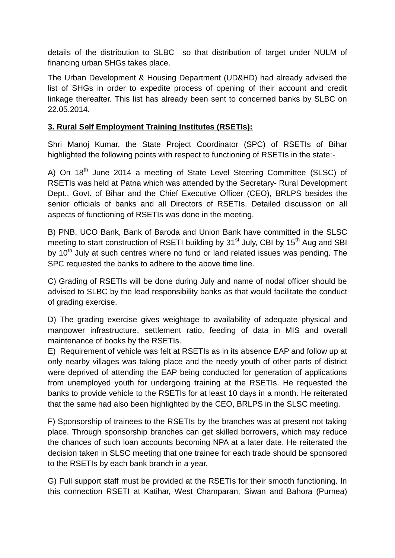details of the distribution to SLBC so that distribution of target under NULM of financing urban SHGs takes place.

The Urban Development & Housing Department (UD&HD) had already advised the list of SHGs in order to expedite process of opening of their account and credit linkage thereafter. This list has already been sent to concerned banks by SLBC on 22.05.2014.

### **3. Rural Self Employment Training Institutes (RSETIs):**

Shri Manoj Kumar, the State Project Coordinator (SPC) of RSETIs of Bihar highlighted the following points with respect to functioning of RSETIs in the state:-

A) On 18<sup>th</sup> June 2014 a meeting of State Level Steering Committee (SLSC) of RSETIs was held at Patna which was attended by the Secretary- Rural Development Dept., Govt. of Bihar and the Chief Executive Officer (CEO), BRLPS besides the senior officials of banks and all Directors of RSETIs. Detailed discussion on all aspects of functioning of RSETIs was done in the meeting.

B) PNB, UCO Bank, Bank of Baroda and Union Bank have committed in the SLSC meeting to start construction of RSETI building by 31<sup>st</sup> July, CBI by 15<sup>th</sup> Aug and SBI by  $10<sup>th</sup>$  July at such centres where no fund or land related issues was pending. The SPC requested the banks to adhere to the above time line.

C) Grading of RSETIs will be done during July and name of nodal officer should be advised to SLBC by the lead responsibility banks as that would facilitate the conduct of grading exercise.

D) The grading exercise gives weightage to availability of adequate physical and manpower infrastructure, settlement ratio, feeding of data in MIS and overall maintenance of books by the RSETIs.

E) Requirement of vehicle was felt at RSETIs as in its absence EAP and follow up at only nearby villages was taking place and the needy youth of other parts of district were deprived of attending the EAP being conducted for generation of applications from unemployed youth for undergoing training at the RSETIs. He requested the banks to provide vehicle to the RSETIs for at least 10 days in a month. He reiterated that the same had also been highlighted by the CEO, BRLPS in the SLSC meeting.

F) Sponsorship of trainees to the RSETIs by the branches was at present not taking place. Through sponsorship branches can get skilled borrowers, which may reduce the chances of such loan accounts becoming NPA at a later date. He reiterated the decision taken in SLSC meeting that one trainee for each trade should be sponsored to the RSETIs by each bank branch in a year.

G) Full support staff must be provided at the RSETIs for their smooth functioning. In this connection RSETI at Katihar, West Champaran, Siwan and Bahora (Purnea)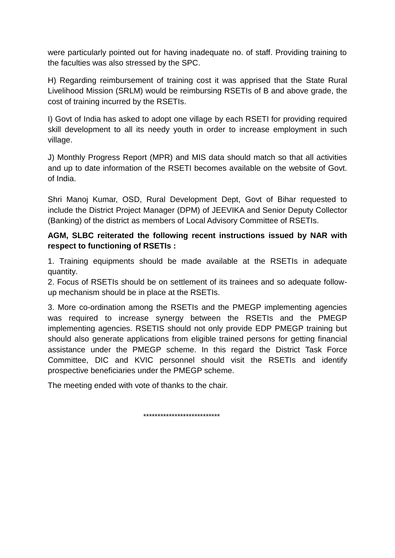were particularly pointed out for having inadequate no. of staff. Providing training to the faculties was also stressed by the SPC.

H) Regarding reimbursement of training cost it was apprised that the State Rural Livelihood Mission (SRLM) would be reimbursing RSETIs of B and above grade, the cost of training incurred by the RSETIs.

I) Govt of India has asked to adopt one village by each RSETI for providing required skill development to all its needy youth in order to increase employment in such village.

J) Monthly Progress Report (MPR) and MIS data should match so that all activities and up to date information of the RSETI becomes available on the website of Govt. of India.

Shri Manoj Kumar, OSD, Rural Development Dept, Govt of Bihar requested to include the District Project Manager (DPM) of JEEVIKA and Senior Deputy Collector (Banking) of the district as members of Local Advisory Committee of RSETIs.

### **AGM, SLBC reiterated the following recent instructions issued by NAR with respect to functioning of RSETIs :**

1. Training equipments should be made available at the RSETIs in adequate quantity.

2. Focus of RSETIs should be on settlement of its trainees and so adequate followup mechanism should be in place at the RSETIs.

3. More co-ordination among the RSETIs and the PMEGP implementing agencies was required to increase synergy between the RSETIs and the PMEGP implementing agencies. RSETIS should not only provide EDP PMEGP training but should also generate applications from eligible trained persons for getting financial assistance under the PMEGP scheme. In this regard the District Task Force Committee, DIC and KVIC personnel should visit the RSETIs and identify prospective beneficiaries under the PMEGP scheme.

The meeting ended with vote of thanks to the chair.

\*\*\*\*\*\*\*\*\*\*\*\*\*\*\*\*\*\*\*\*\*\*\*\*\*\*\*